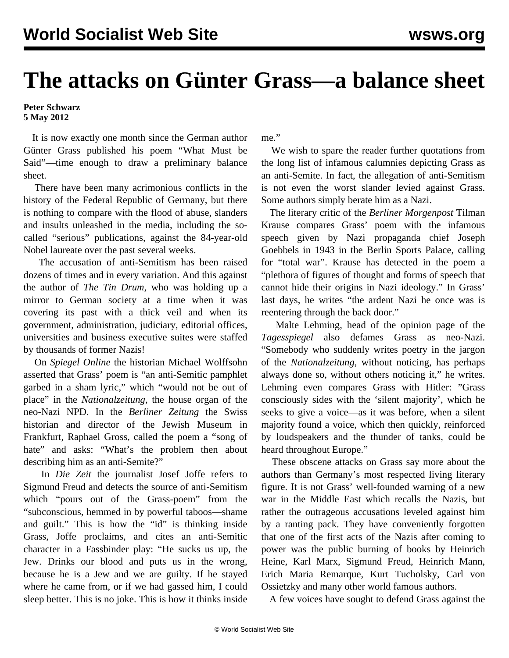## **The attacks on Günter Grass—a balance sheet**

## **Peter Schwarz 5 May 2012**

 It is now exactly one month since the German author Günter Grass published his poem "What Must be Said"—time enough to draw a preliminary balance sheet.

 There have been many acrimonious conflicts in the history of the Federal Republic of Germany, but there is nothing to compare with the flood of abuse, slanders and insults unleashed in the media, including the socalled "serious" publications, against the 84-year-old Nobel laureate over the past several weeks.

 The accusation of anti-Semitism has been raised dozens of times and in every variation. And this against the author of *The Tin Drum*, who was holding up a mirror to German society at a time when it was covering its past with a thick veil and when its government, administration, judiciary, editorial offices, universities and business executive suites were staffed by thousands of former Nazis!

 On *Spiegel Online* the historian Michael Wolffsohn asserted that Grass' poem is "an anti-Semitic pamphlet garbed in a sham lyric," which "would not be out of place" in the *Nationalzeitung*, the house organ of the neo-Nazi NPD. In the *Berliner Zeitung* the Swiss historian and director of the Jewish Museum in Frankfurt, Raphael Gross, called the poem a "song of hate" and asks: "What's the problem then about describing him as an anti-Semite?"

 In *Die Zeit* the journalist Josef Joffe refers to Sigmund Freud and detects the source of anti-Semitism which "pours out of the Grass-poem" from the "subconscious, hemmed in by powerful taboos—shame and guilt." This is how the "id" is thinking inside Grass, Joffe proclaims, and cites an anti-Semitic character in a Fassbinder play: "He sucks us up, the Jew. Drinks our blood and puts us in the wrong, because he is a Jew and we are guilty. If he stayed where he came from, or if we had gassed him, I could sleep better. This is no joke. This is how it thinks inside me."

 We wish to spare the reader further quotations from the long list of infamous calumnies depicting Grass as an anti-Semite. In fact, the allegation of anti-Semitism is not even the worst slander levied against Grass. Some authors simply berate him as a Nazi.

 The literary critic of the *Berliner Morgenpost* Tilman Krause compares Grass' poem with the infamous speech given by Nazi propaganda chief Joseph Goebbels in 1943 in the Berlin Sports Palace, calling for "total war". Krause has detected in the poem a "plethora of figures of thought and forms of speech that cannot hide their origins in Nazi ideology." In Grass' last days, he writes "the ardent Nazi he once was is reentering through the back door."

 Malte Lehming, head of the opinion page of the *Tagesspiegel* also defames Grass as neo-Nazi. "Somebody who suddenly writes poetry in the jargon of the *Nationalzeitung*, without noticing, has perhaps always done so, without others noticing it," he writes. Lehming even compares Grass with Hitler: "Grass consciously sides with the 'silent majority', which he seeks to give a voice—as it was before, when a silent majority found a voice, which then quickly, reinforced by loudspeakers and the thunder of tanks, could be heard throughout Europe."

 These obscene attacks on Grass say more about the authors than Germany's most respected living literary figure. It is not Grass' well-founded warning of a new war in the Middle East which recalls the Nazis, but rather the outrageous accusations leveled against him by a ranting pack. They have conveniently forgotten that one of the first acts of the Nazis after coming to power was the public burning of books by Heinrich Heine, Karl Marx, Sigmund Freud, Heinrich Mann, Erich Maria Remarque, Kurt Tucholsky, Carl von Ossietzky and many other world famous authors.

A few voices have sought to defend Grass against the